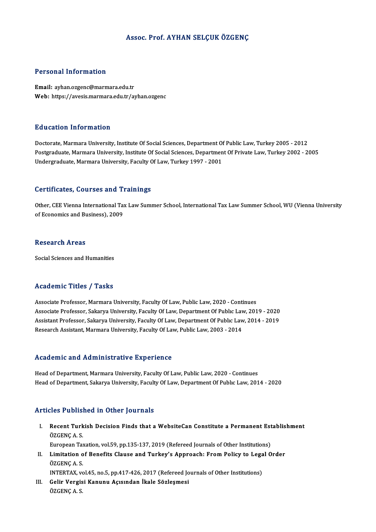# Assoc. Prof. AYHAN SELÇUK ÖZGENÇ

# Personal Information

Email: ayhan.ozgenc@marmara.edu.tr Web: https://avesis.marmara.edu.tr/ayhan.ozgenc

# Education Information

Doctorate, Marmara University, Institute Of Social Sciences, Department Of Public Law, Turkey 2005 - 2012 Postgraduate, Marmara University, Institute Of Social Sciences, Department Of Private Law, Turkey 2002 - 2005 Undergraduate, Marmara University, Faculty Of Law, Turkey 1997 - 2001

# Certificates, Courses and Trainings

Other, CEE Vienna International Tax Law Summer School, International Tax Law Summer School, WU (Vienna University of Economics and Business), 2009

# **Research Areas**

Social Sciences and Humanities

# Academic Titles / Tasks

Associate Professor, Marmara University, Faculty Of Law, Public Law, 2020 - Continues Associate Professor, Sakarya University, Faculty Of Law, Department Of Public Law, 2019 - 2020 Associate Professor, Marmara University, Faculty Of Law, Public Law, 2020 - Continues<br>Associate Professor, Sakarya University, Faculty Of Law, Department Of Public Law, 2019 - 2020<br>Assistant Professor, Sakarya University, Associate Professor, Sakarya University, Faculty Of Law, Department Of Public Lav<br>Assistant Professor, Sakarya University, Faculty Of Law, Department Of Public Law<br>Research Assistant, Marmara University, Faculty Of Law, Pu Research Assistant, Marmara University, Faculty Of Law, Public Law, 2003 - 2014<br>Academic and Administrative Experience

Head of Department, Marmara University, Faculty Of Law, Public Law, 2020 - Continues Head of Department, Sakarya University, Faculty Of Law, Department Of Public Law, 2014 - 2020

# Articles Published in Other Journals

rticles Published in Other Journals<br>I. Recent Turkish Decision Finds that a WebsiteCan Constitute a Permanent Establishment<br>ÖZCENCA S nes 1 abha<br>Recent Turk<br>ÖZGENÇ A. S.<br>Europeen Tex ÖZGENÇ A. S.<br>European Taxation, vol.59, pp.135-137, 2019 (Refereed Journals of Other Institutions)

ÖZGENÇ A. S.<br>European Taxation, vol.59, pp.135-137, 2019 (Refereed Journals of Other Institutions)<br>II. Limitation of Benefits Clause and Turkey's Approach: From Policy to Legal Order<br>ÖZGENC A. S European Tax<br>Limitation o<br>ÖZGENÇ A. S.<br>INTEPTAY ve Limitation of Benefits Clause and Turkey's Approach: From Policy to Lega<br>ÖZGENÇ A. S.<br>INTERTAX, vol.45, no.5, pp.417-426, 2017 (Refereed Journals of Other Institutions)<br>Colin Vengiei Kenunu, Asyandan Usla Sözleameei

INTERTAX, vol.45, no.5, pp.417-426, 2017 (Refereed Journals of Other Institutions)

ÖZGENÇ A. S.<br>INTERTAX, vol.45, no.5, pp.417-426, 2017 (Refereed Jo<br>III. Gelir Vergisi Kanunu Açısından İkale Sözleşmesi<br>ÖZGENC A. S.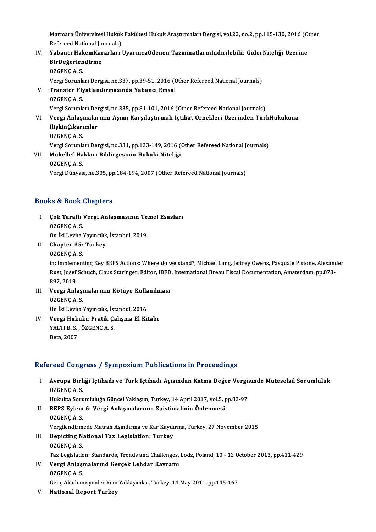Marmara Üniversitesi Hukuk Fakültesi Hukuk Araştırmaları Dergisi, vol.22, no.2, pp.115-130, 2016 (Other<br>Refereed National Jeurnala) Marmara Üniversitesi Hukuk<br>Refereed National Journals)<br>Yahangi HakamKanarlari I Marmara Üniversitesi Hukuk Fakültesi Hukuk Araştırmaları Dergisi, vol.22, no.2, pp.115-130, 2016 (O<br>Refereed National Journals)<br>IV. Yabancı HakemKararları UyarıncaÖdenen Tazminatlarınİndirilebilir GiderNiteliği Üzerine

# Refereed National Jo<br>Yabancı HakemKar<br>BirDeğerlendirme<br>ÖZCENC A S Yabancı Hak<br>BirDeğerlen<br>ÖZGENÇ A. S.<br>Vergi Sarunla BirDeğerlendirme<br>ÖZGENÇ A. S.<br>Vergi Sorunları Dergisi, no.337, pp.39-51, 2016 (Other Refereed National Journals)

- ÖZGENÇ A. S.<br>Vergi Sorunları Dergisi, no.337, pp.39-51, 2016 (O<br>V. Transfer Fiyatlandırmasında Yabancı Emsal<br>ÖZCENC A. S Vergi Sorunla<br><mark>Transfer Fiy</mark><br>ÖZGENÇ A. S.<br>Vergi Sorunla ÖZGENÇ A. S.<br>Vergi Sorunları Dergisi, no.335, pp.81-101, 2016 (Other Refereed National Journals)
- VI. Vergi Anlaşmalarının Aşımı Karşılaştırmalı İçtihat Örnekleri Üzerinden TürkHukukuna Vergi Sorunları De<mark>ı</mark><br>Vergi Anlaşmalar<br>İlişkinÇıkarımlar<br>Ö<sup>7CENCAS</sup> Vergi Anlaşı<br>İlişkinÇıkarı<br>ÖZGENÇ A. S.<br>Vergi Sarunla ÖZGENÇ A. S.<br>Vergi Sorunları Dergisi, no.331, pp.133-149, 2016 (Other Refereed National Journals) ÖZGENÇ A. S.<br>Vergi Sorunları Dergisi, no.331, pp.133-149, 2016 (<br>VII. Mükellef Hakları Bildirgesinin Hukuki Niteliği<br>ÖZCENC A. S
- Vergi Sorunla<br><mark>Mükellef Ha</mark><br>ÖZGENÇ A. S.<br>Vergi Dünyes ÖZGENÇ A. S.<br>Vergi Dünyası, no.305, pp.184-194, 2007 (Other Refereed National Journals)

# Books&Book Chapters

- ooks & Book Chapters<br>I. Çok Taraflı Vergi Anlaşmasının Temel Esasları<br>ÖZCENC A S to & Book<br>Cok Taraflı<br>ÖZGENÇ A. S.<br>On İki Levba Çok Taraflı Vergi Anlaşmasının Te<br>ÖZGENÇ A. S.<br>On İki Levha Yayıncılık, İstanbul, 2019<br>Chanter 25. Turkey ÖZGENÇ A. S.<br>On İki Levha Yayıncılık<br>II. Chapter 35: Turkey<br>ÖZCENÇ A. S On İki Levha<br>Chapter 35:<br>ÖZGENÇ A. S.<br>in: Implement
- 

ÖZGENÇ A. S.<br>in: Implementing Key BEPS Actions: Where do we stand?, Michael Lang, Jeffrey Owens, Pasquale Pistone, Alexander ÖZGENÇ A. S.<br>in: Implementing Key BEPS Actions: Where do we stand?, Michael Lang, Jeffrey Owens, Pasquale Pistone, Alexanc<br>Rust, Josef Schuch, Claus Staringer, Editor, IBFD, International Breau Fiscal Documentation, Amster in: Impleme<br>Rust, Josef<br>897, 2019<br>Vergi Ank Rust, Josef Schuch, Claus Staringer, Editor, IBFD<br>897, 2019<br>III. Vergi Anlaşmalarının Kötüye Kullanılması<br>ÖZCENC A S

- 897, 2019<br>Vergi Anlaşı<br>ÖZGENÇ A. S.<br>On <sup>ilçi</sup> Levbe Vergi Anlaşmalarının Kötüye Kulla<br>ÖZGENÇ A. S.<br>On İki Levha Yayıncılık, İstanbul, 2016<br>Vergi Hulmlm Pratik Columa El Kü ÖZGENÇ A. S.<br>On İki Levha Yayıncılık, İstanbul, 2016<br>IV. Vergi Hukuku Pratik Çalışma El Kitabı<br>VALTI B. ÖZGENÇ A. S
- On İki Levha Yayıncılık, İstanbul, 2016<br>Vergi Hukuku Pratik Çalışma El Ki<br>YALTI B. S. , ÖZGENÇ A. S.<br>Beta. 2007 <mark>Vergi Huk</mark><br>YALTI B. S.<br>Beta, 2007

# Refereed Congress / Symposium Publications in Proceedings

efereed Congress / Symposium Publications in Proceedings<br>I. Avrupa Birliği İçtihadı ve Türk İçtihadı Açısından Katma Değer Vergisinde Müteselsil Sorumluluk<br>ÖZCENCA S rood dong.<br>Avrupa Birli<br>ÖZGENÇA.S. Avrupa Birliği İçtihadı ve Türk İçtihadı Açısından Katma Değer Vergi:<br>ÖZGENÇ A. S.<br>Hukukta Sorumluluğa Güncel Yaklaşım, Turkey, 14 April 2017, vol.5, pp.83-97<br>PERS Evlam 6: Vergi Anlasmalarının Suistimalinin Önlanmesi

- ÖZGENÇ A. S.<br>Hukukta Sorumluluğa Güncel Yaklaşım, Turkey, 14 April 2017, vol.5, <sub>1</sub><br>II. BEPS Eylem 6: Vergi Anlaşmalarının Suistimalinin Önlenmesi<br>ÖZGENC A. S. Hukukta Soru<br><mark>BEPS Eylem</mark><br>ÖZGENÇ A. S.<br>Vergilandirm ÖZGENÇ A. S.<br>Vergilendirmede Matrah Aşındırma ve Kar Kaydı<br>III. Depicting National Tax Legislation: Turkey<br>ÖZGENÇ A. S
	- Vergilendirmede Matrah Aşındırma ve Kar Kaydırma, Turkey, 27 November 2015
- Vergilendirm<br><mark>Depicting N</mark><br>ÖZGENÇ A. S.<br>Tav Legislatio</mark> Depicting National Tax Legislation: Turkey<br>ÖZGENÇ A. S.<br>Tax Legislation: Standards, Trends and Challenges, Lodz, Poland, 10 - 12 October 2013, pp.411-429<br>Vergi Anleemalanud Censek Lebder Keyramı ÖZGENÇ A. S.<br>Tax Legislation: Standards, Trends and Challenges,<br>IV. Vergi Anlaşmalarınd Gerçek Lehdar Kavramı<br>ÖZGENÇ A. S. Tax Legislatic<br>Vergi Anlaşı<br>ÖZGENÇ A. S.<br>Cana Akadam
- GençAkademisyenler YeniYaklaşımlar,Turkey,14May2011,pp.145-167
- V. National Report Turkey